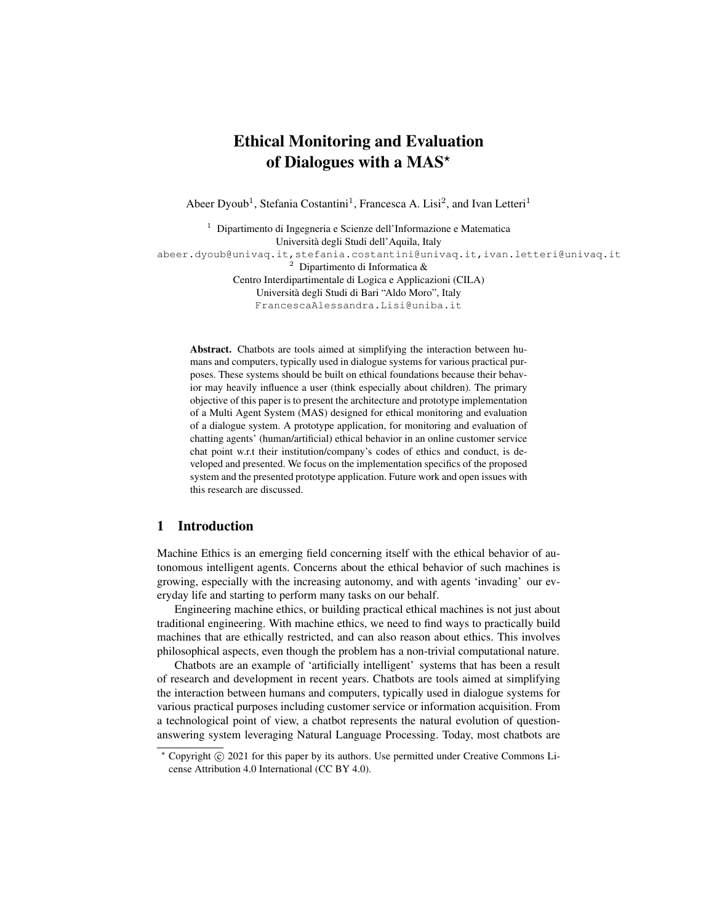# Ethical Monitoring and Evaluation of Dialogues with a MAS\*

Abeer Dyoub<sup>1</sup>, Stefania Costantini<sup>1</sup>, Francesca A. Lisi<sup>2</sup>, and Ivan Letteri<sup>1</sup>

<sup>1</sup> Dipartimento di Ingegneria e Scienze dell'Informazione e Matematica Universita degli Studi dell'Aquila, Italy ` abeer.dyoub@univaq.it,stefania.costantini@univaq.it,ivan.letteri@univaq.it<br>2 Dinartimento di Informatica & <sup>2</sup> Dipartimento di Informatica & Centro Interdipartimentale di Logica e Applicazioni (CILA) Universita degli Studi di Bari "Aldo Moro", Italy ` FrancescaAlessandra.Lisi@uniba.it

Abstract. Chatbots are tools aimed at simplifying the interaction between humans and computers, typically used in dialogue systems for various practical purposes. These systems should be built on ethical foundations because their behavior may heavily influence a user (think especially about children). The primary objective of this paper is to present the architecture and prototype implementation of a Multi Agent System (MAS) designed for ethical monitoring and evaluation of a dialogue system. A prototype application, for monitoring and evaluation of chatting agents' (human/artificial) ethical behavior in an online customer service chat point w.r.t their institution/company's codes of ethics and conduct, is developed and presented. We focus on the implementation specifics of the proposed system and the presented prototype application. Future work and open issues with this research are discussed.

# 1 Introduction

Machine Ethics is an emerging field concerning itself with the ethical behavior of autonomous intelligent agents. Concerns about the ethical behavior of such machines is growing, especially with the increasing autonomy, and with agents 'invading' our everyday life and starting to perform many tasks on our behalf.

Engineering machine ethics, or building practical ethical machines is not just about traditional engineering. With machine ethics, we need to find ways to practically build machines that are ethically restricted, and can also reason about ethics. This involves philosophical aspects, even though the problem has a non-trivial computational nature.

Chatbots are an example of 'artificially intelligent' systems that has been a result of research and development in recent years. Chatbots are tools aimed at simplifying the interaction between humans and computers, typically used in dialogue systems for various practical purposes including customer service or information acquisition. From a technological point of view, a chatbot represents the natural evolution of questionanswering system leveraging Natural Language Processing. Today, most chatbots are

 $*$  Copyright  $\circled{c}$  2021 for this paper by its authors. Use permitted under Creative Commons License Attribution 4.0 International (CC BY 4.0).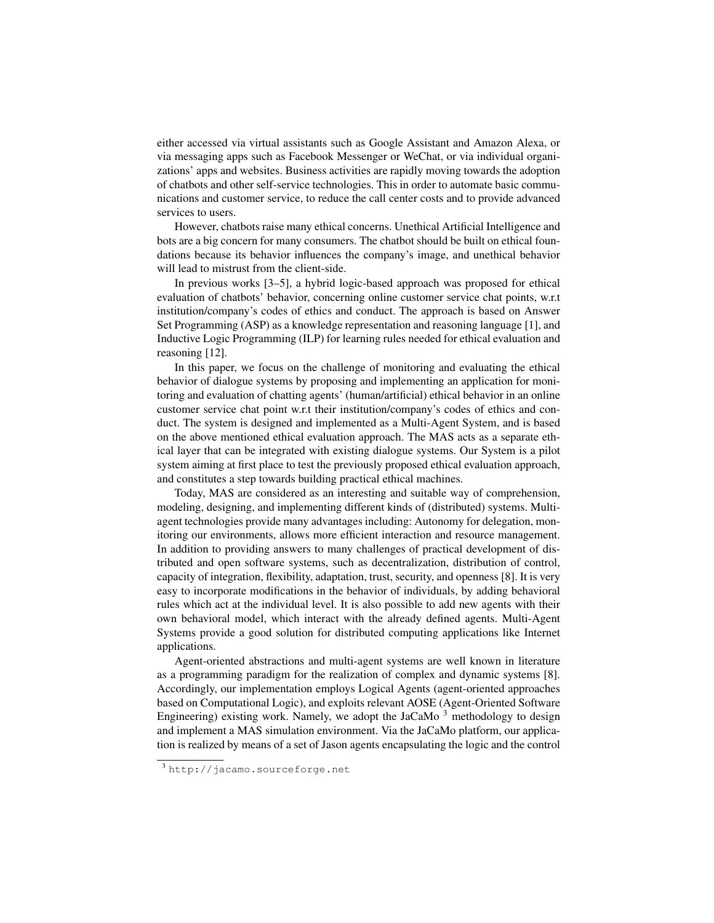either accessed via virtual assistants such as Google Assistant and Amazon Alexa, or via messaging apps such as Facebook Messenger or WeChat, or via individual organizations' apps and websites. Business activities are rapidly moving towards the adoption of chatbots and other self-service technologies. This in order to automate basic communications and customer service, to reduce the call center costs and to provide advanced services to users.

However, chatbots raise many ethical concerns. Unethical Artificial Intelligence and bots are a big concern for many consumers. The chatbot should be built on ethical foundations because its behavior influences the company's image, and unethical behavior will lead to mistrust from the client-side.

In previous works [3–5], a hybrid logic-based approach was proposed for ethical evaluation of chatbots' behavior, concerning online customer service chat points, w.r.t institution/company's codes of ethics and conduct. The approach is based on Answer Set Programming (ASP) as a knowledge representation and reasoning language [1], and Inductive Logic Programming (ILP) for learning rules needed for ethical evaluation and reasoning [12].

In this paper, we focus on the challenge of monitoring and evaluating the ethical behavior of dialogue systems by proposing and implementing an application for monitoring and evaluation of chatting agents' (human/artificial) ethical behavior in an online customer service chat point w.r.t their institution/company's codes of ethics and conduct. The system is designed and implemented as a Multi-Agent System, and is based on the above mentioned ethical evaluation approach. The MAS acts as a separate ethical layer that can be integrated with existing dialogue systems. Our System is a pilot system aiming at first place to test the previously proposed ethical evaluation approach, and constitutes a step towards building practical ethical machines.

Today, MAS are considered as an interesting and suitable way of comprehension, modeling, designing, and implementing different kinds of (distributed) systems. Multiagent technologies provide many advantages including: Autonomy for delegation, monitoring our environments, allows more efficient interaction and resource management. In addition to providing answers to many challenges of practical development of distributed and open software systems, such as decentralization, distribution of control, capacity of integration, flexibility, adaptation, trust, security, and openness [8]. It is very easy to incorporate modifications in the behavior of individuals, by adding behavioral rules which act at the individual level. It is also possible to add new agents with their own behavioral model, which interact with the already defined agents. Multi-Agent Systems provide a good solution for distributed computing applications like Internet applications.

Agent-oriented abstractions and multi-agent systems are well known in literature as a programming paradigm for the realization of complex and dynamic systems [8]. Accordingly, our implementation employs Logical Agents (agent-oriented approaches based on Computational Logic), and exploits relevant AOSE (Agent-Oriented Software Engineering) existing work. Namely, we adopt the JaCaMo  $3$  methodology to design and implement a MAS simulation environment. Via the JaCaMo platform, our application is realized by means of a set of Jason agents encapsulating the logic and the control

<sup>3</sup> http://jacamo.sourceforge.net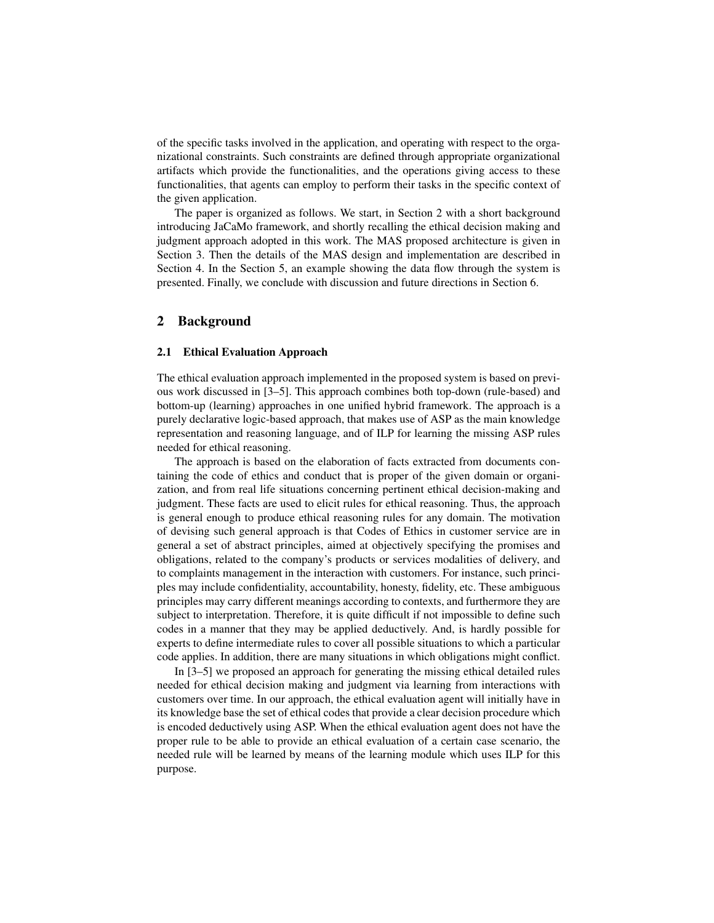of the specific tasks involved in the application, and operating with respect to the organizational constraints. Such constraints are defined through appropriate organizational artifacts which provide the functionalities, and the operations giving access to these functionalities, that agents can employ to perform their tasks in the specific context of the given application.

The paper is organized as follows. We start, in Section 2 with a short background introducing JaCaMo framework, and shortly recalling the ethical decision making and judgment approach adopted in this work. The MAS proposed architecture is given in Section 3. Then the details of the MAS design and implementation are described in Section 4. In the Section 5, an example showing the data flow through the system is presented. Finally, we conclude with discussion and future directions in Section 6.

## 2 Background

#### 2.1 Ethical Evaluation Approach

The ethical evaluation approach implemented in the proposed system is based on previous work discussed in [3–5]. This approach combines both top-down (rule-based) and bottom-up (learning) approaches in one unified hybrid framework. The approach is a purely declarative logic-based approach, that makes use of ASP as the main knowledge representation and reasoning language, and of ILP for learning the missing ASP rules needed for ethical reasoning.

The approach is based on the elaboration of facts extracted from documents containing the code of ethics and conduct that is proper of the given domain or organization, and from real life situations concerning pertinent ethical decision-making and judgment. These facts are used to elicit rules for ethical reasoning. Thus, the approach is general enough to produce ethical reasoning rules for any domain. The motivation of devising such general approach is that Codes of Ethics in customer service are in general a set of abstract principles, aimed at objectively specifying the promises and obligations, related to the company's products or services modalities of delivery, and to complaints management in the interaction with customers. For instance, such principles may include confidentiality, accountability, honesty, fidelity, etc. These ambiguous principles may carry different meanings according to contexts, and furthermore they are subject to interpretation. Therefore, it is quite difficult if not impossible to define such codes in a manner that they may be applied deductively. And, is hardly possible for experts to define intermediate rules to cover all possible situations to which a particular code applies. In addition, there are many situations in which obligations might conflict.

In [3–5] we proposed an approach for generating the missing ethical detailed rules needed for ethical decision making and judgment via learning from interactions with customers over time. In our approach, the ethical evaluation agent will initially have in its knowledge base the set of ethical codes that provide a clear decision procedure which is encoded deductively using ASP. When the ethical evaluation agent does not have the proper rule to be able to provide an ethical evaluation of a certain case scenario, the needed rule will be learned by means of the learning module which uses ILP for this purpose.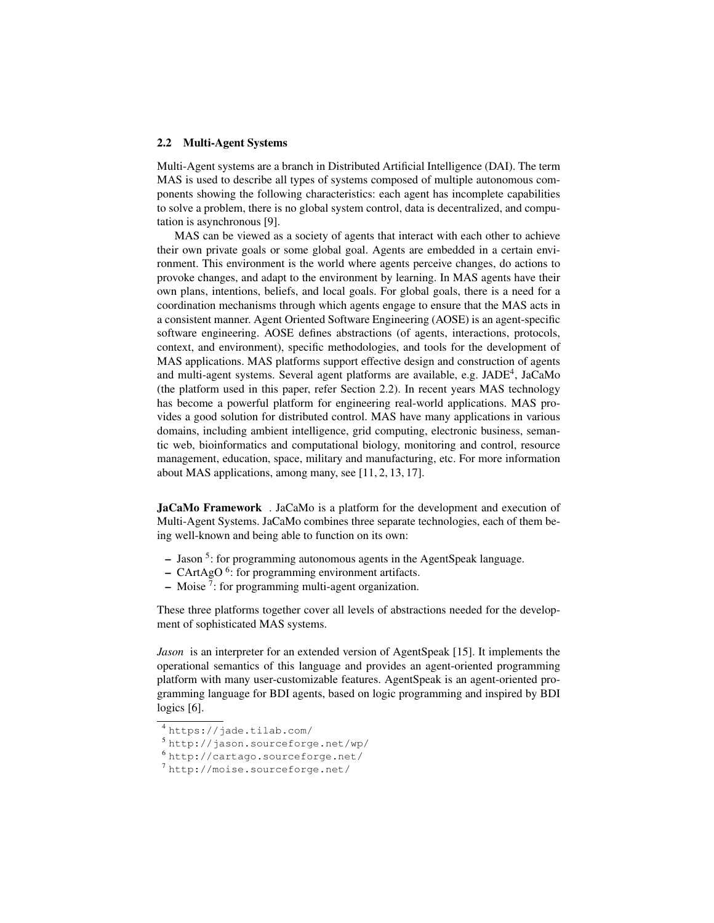#### 2.2 Multi-Agent Systems

Multi-Agent systems are a branch in Distributed Artificial Intelligence (DAI). The term MAS is used to describe all types of systems composed of multiple autonomous components showing the following characteristics: each agent has incomplete capabilities to solve a problem, there is no global system control, data is decentralized, and computation is asynchronous [9].

MAS can be viewed as a society of agents that interact with each other to achieve their own private goals or some global goal. Agents are embedded in a certain environment. This environment is the world where agents perceive changes, do actions to provoke changes, and adapt to the environment by learning. In MAS agents have their own plans, intentions, beliefs, and local goals. For global goals, there is a need for a coordination mechanisms through which agents engage to ensure that the MAS acts in a consistent manner. Agent Oriented Software Engineering (AOSE) is an agent-specific software engineering. AOSE defines abstractions (of agents, interactions, protocols, context, and environment), specific methodologies, and tools for the development of MAS applications. MAS platforms support effective design and construction of agents and multi-agent systems. Several agent platforms are available, e.g. JADE<sup>4</sup>, JaCaMo (the platform used in this paper, refer Section 2.2). In recent years MAS technology has become a powerful platform for engineering real-world applications. MAS provides a good solution for distributed control. MAS have many applications in various domains, including ambient intelligence, grid computing, electronic business, semantic web, bioinformatics and computational biology, monitoring and control, resource management, education, space, military and manufacturing, etc. For more information about MAS applications, among many, see [11, 2, 13, 17].

JaCaMo Framework . JaCaMo is a platform for the development and execution of Multi-Agent Systems. JaCaMo combines three separate technologies, each of them being well-known and being able to function on its own:

- Jason<sup>5</sup>: for programming autonomous agents in the AgentSpeak language.
- $-$  CArtAgO<sup>6</sup>: for programming environment artifacts.
- $-$  Moise<sup>7</sup>: for programming multi-agent organization.

These three platforms together cover all levels of abstractions needed for the development of sophisticated MAS systems.

*Jason* is an interpreter for an extended version of AgentSpeak [15]. It implements the operational semantics of this language and provides an agent-oriented programming platform with many user-customizable features. AgentSpeak is an agent-oriented programming language for BDI agents, based on logic programming and inspired by BDI logics [6].

<sup>4</sup> https://jade.tilab.com/

<sup>5</sup> http://jason.sourceforge.net/wp/

<sup>6</sup> http://cartago.sourceforge.net/

<sup>7</sup> http://moise.sourceforge.net/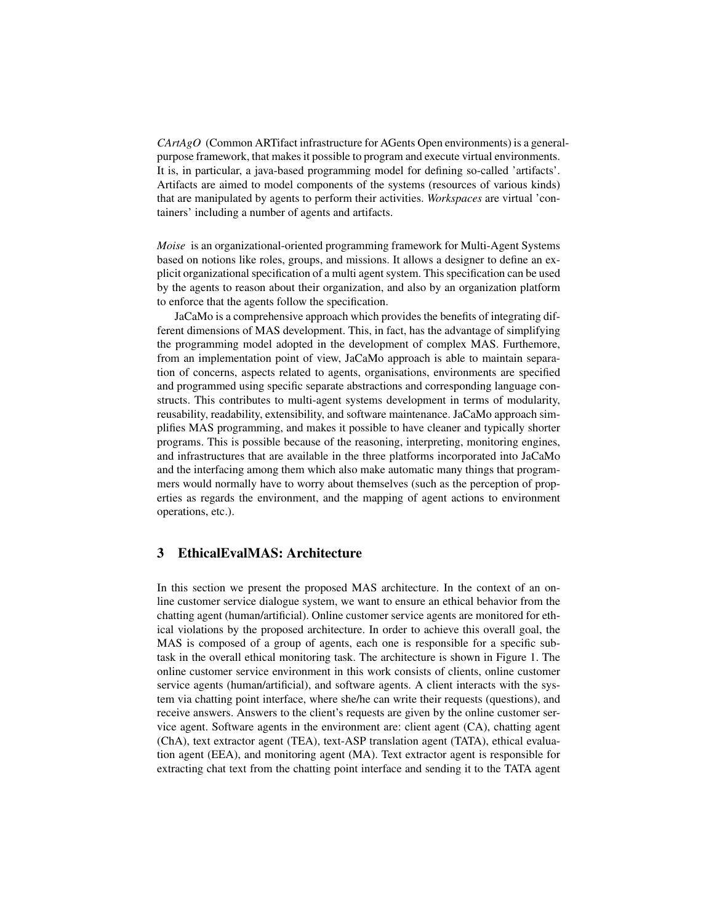*CArtAgO* (Common ARTifact infrastructure for AGents Open environments) is a generalpurpose framework, that makes it possible to program and execute virtual environments. It is, in particular, a java-based programming model for defining so-called 'artifacts'. Artifacts are aimed to model components of the systems (resources of various kinds) that are manipulated by agents to perform their activities. *Workspaces* are virtual 'containers' including a number of agents and artifacts.

*Moise* is an organizational-oriented programming framework for Multi-Agent Systems based on notions like roles, groups, and missions. It allows a designer to define an explicit organizational specification of a multi agent system. This specification can be used by the agents to reason about their organization, and also by an organization platform to enforce that the agents follow the specification.

JaCaMo is a comprehensive approach which provides the benefits of integrating different dimensions of MAS development. This, in fact, has the advantage of simplifying the programming model adopted in the development of complex MAS. Furthemore, from an implementation point of view, JaCaMo approach is able to maintain separation of concerns, aspects related to agents, organisations, environments are specified and programmed using specific separate abstractions and corresponding language constructs. This contributes to multi-agent systems development in terms of modularity, reusability, readability, extensibility, and software maintenance. JaCaMo approach simplifies MAS programming, and makes it possible to have cleaner and typically shorter programs. This is possible because of the reasoning, interpreting, monitoring engines, and infrastructures that are available in the three platforms incorporated into JaCaMo and the interfacing among them which also make automatic many things that programmers would normally have to worry about themselves (such as the perception of properties as regards the environment, and the mapping of agent actions to environment operations, etc.).

## 3 EthicalEvalMAS: Architecture

In this section we present the proposed MAS architecture. In the context of an online customer service dialogue system, we want to ensure an ethical behavior from the chatting agent (human/artificial). Online customer service agents are monitored for ethical violations by the proposed architecture. In order to achieve this overall goal, the MAS is composed of a group of agents, each one is responsible for a specific subtask in the overall ethical monitoring task. The architecture is shown in Figure 1. The online customer service environment in this work consists of clients, online customer service agents (human/artificial), and software agents. A client interacts with the system via chatting point interface, where she/he can write their requests (questions), and receive answers. Answers to the client's requests are given by the online customer service agent. Software agents in the environment are: client agent (CA), chatting agent (ChA), text extractor agent (TEA), text-ASP translation agent (TATA), ethical evaluation agent (EEA), and monitoring agent (MA). Text extractor agent is responsible for extracting chat text from the chatting point interface and sending it to the TATA agent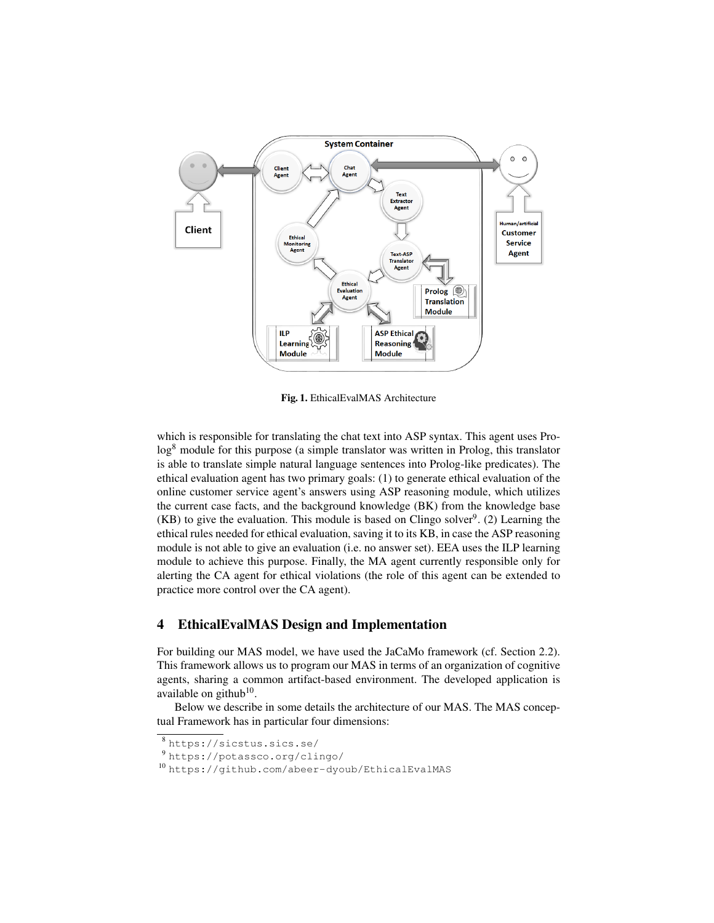

Fig. 1. EthicalEvalMAS Architecture

which is responsible for translating the chat text into ASP syntax. This agent uses Pro- $\log^8$  module for this purpose (a simple translator was written in Prolog, this translator is able to translate simple natural language sentences into Prolog-like predicates). The ethical evaluation agent has two primary goals: (1) to generate ethical evaluation of the online customer service agent's answers using ASP reasoning module, which utilizes the current case facts, and the background knowledge (BK) from the knowledge base  $(KB)$  to give the evaluation. This module is based on Clingo solver<sup>9</sup>. (2) Learning the ethical rules needed for ethical evaluation, saving it to its KB, in case the ASP reasoning module is not able to give an evaluation (i.e. no answer set). EEA uses the ILP learning module to achieve this purpose. Finally, the MA agent currently responsible only for alerting the CA agent for ethical violations (the role of this agent can be extended to practice more control over the CA agent).

## 4 EthicalEvalMAS Design and Implementation

For building our MAS model, we have used the JaCaMo framework (cf. Section 2.2). This framework allows us to program our MAS in terms of an organization of cognitive agents, sharing a common artifact-based environment. The developed application is available on github<sup>10</sup>.

Below we describe in some details the architecture of our MAS. The MAS conceptual Framework has in particular four dimensions:

<sup>8</sup> https://sicstus.sics.se/

<sup>9</sup> https://potassco.org/clingo/

<sup>10</sup> https://github.com/abeer-dyoub/EthicalEvalMAS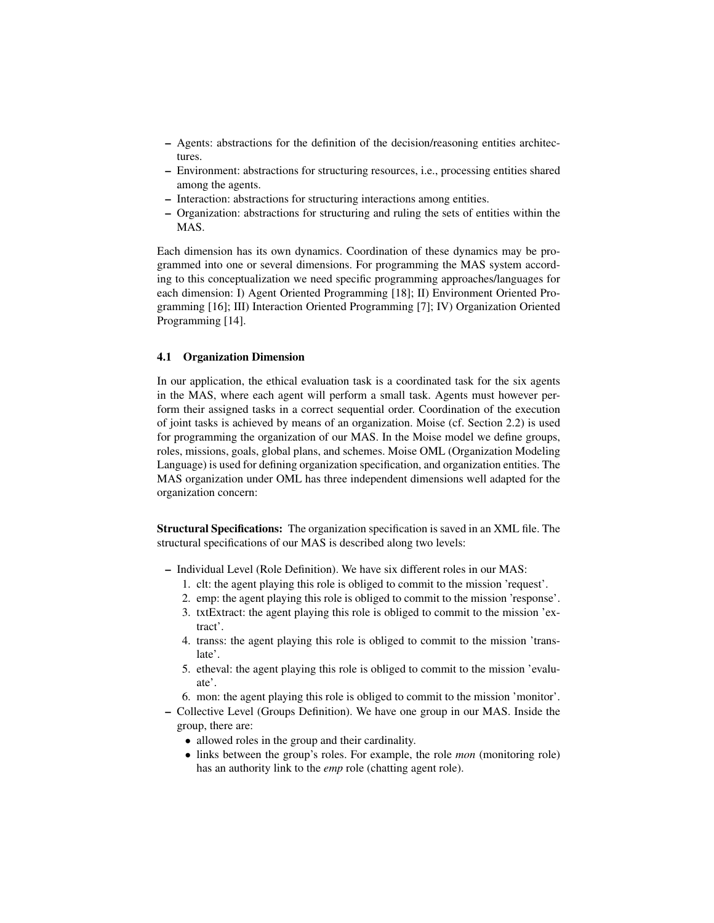- Agents: abstractions for the definition of the decision/reasoning entities architectures.
- Environment: abstractions for structuring resources, i.e., processing entities shared among the agents.
- Interaction: abstractions for structuring interactions among entities.
- Organization: abstractions for structuring and ruling the sets of entities within the MAS.

Each dimension has its own dynamics. Coordination of these dynamics may be programmed into one or several dimensions. For programming the MAS system according to this conceptualization we need specific programming approaches/languages for each dimension: I) Agent Oriented Programming [18]; II) Environment Oriented Programming [16]; III) Interaction Oriented Programming [7]; IV) Organization Oriented Programming [14].

#### 4.1 Organization Dimension

In our application, the ethical evaluation task is a coordinated task for the six agents in the MAS, where each agent will perform a small task. Agents must however perform their assigned tasks in a correct sequential order. Coordination of the execution of joint tasks is achieved by means of an organization. Moise (cf. Section 2.2) is used for programming the organization of our MAS. In the Moise model we define groups, roles, missions, goals, global plans, and schemes. Moise OML (Organization Modeling Language) is used for defining organization specification, and organization entities. The MAS organization under OML has three independent dimensions well adapted for the organization concern:

Structural Specifications: The organization specification is saved in an XML file. The structural specifications of our MAS is described along two levels:

- Individual Level (Role Definition). We have six different roles in our MAS:
	- 1. clt: the agent playing this role is obliged to commit to the mission 'request'.
	- 2. emp: the agent playing this role is obliged to commit to the mission 'response'.
	- 3. txtExtract: the agent playing this role is obliged to commit to the mission 'extract'.
	- 4. transs: the agent playing this role is obliged to commit to the mission 'translate'.
	- 5. etheval: the agent playing this role is obliged to commit to the mission 'evaluate'.
	- 6. mon: the agent playing this role is obliged to commit to the mission 'monitor'.
- Collective Level (Groups Definition). We have one group in our MAS. Inside the group, there are:
	- allowed roles in the group and their cardinality.
	- links between the group's roles. For example, the role *mon* (monitoring role) has an authority link to the *emp* role (chatting agent role).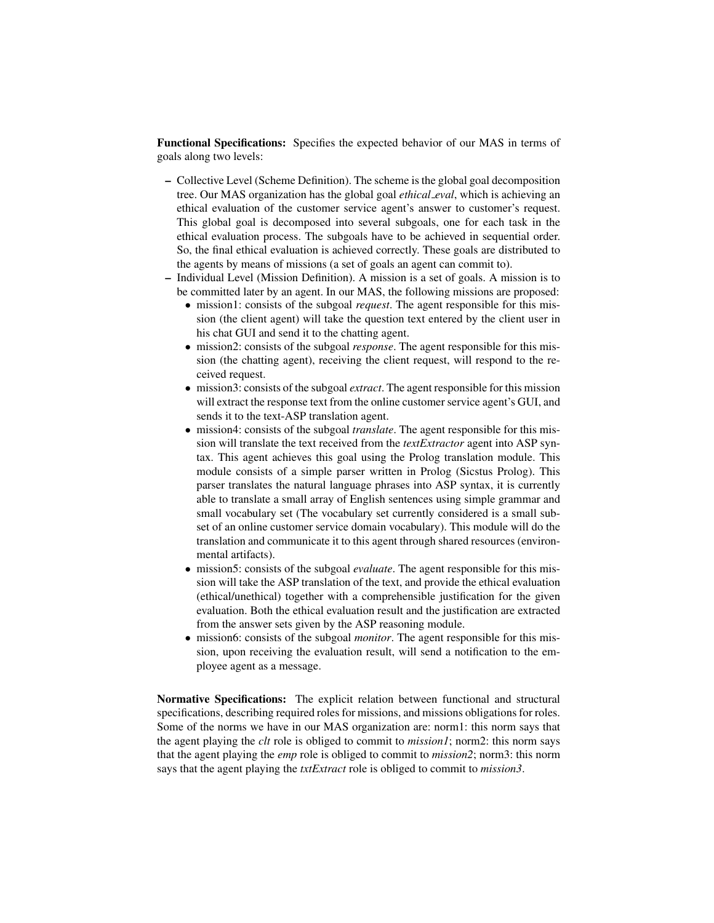Functional Specifications: Specifies the expected behavior of our MAS in terms of goals along two levels:

- Collective Level (Scheme Definition). The scheme is the global goal decomposition tree. Our MAS organization has the global goal *ethical eval*, which is achieving an ethical evaluation of the customer service agent's answer to customer's request. This global goal is decomposed into several subgoals, one for each task in the ethical evaluation process. The subgoals have to be achieved in sequential order. So, the final ethical evaluation is achieved correctly. These goals are distributed to the agents by means of missions (a set of goals an agent can commit to).
- Individual Level (Mission Definition). A mission is a set of goals. A mission is to be committed later by an agent. In our MAS, the following missions are proposed:
	- mission1: consists of the subgoal *request*. The agent responsible for this mission (the client agent) will take the question text entered by the client user in his chat GUI and send it to the chatting agent.
	- mission2: consists of the subgoal *response*. The agent responsible for this mission (the chatting agent), receiving the client request, will respond to the received request.
	- mission3: consists of the subgoal *extract*. The agent responsible for this mission will extract the response text from the online customer service agent's GUI, and sends it to the text-ASP translation agent.
	- mission4: consists of the subgoal *translate*. The agent responsible for this mission will translate the text received from the *textExtractor* agent into ASP syntax. This agent achieves this goal using the Prolog translation module. This module consists of a simple parser written in Prolog (Sicstus Prolog). This parser translates the natural language phrases into ASP syntax, it is currently able to translate a small array of English sentences using simple grammar and small vocabulary set (The vocabulary set currently considered is a small subset of an online customer service domain vocabulary). This module will do the translation and communicate it to this agent through shared resources (environmental artifacts).
	- mission5: consists of the subgoal *evaluate*. The agent responsible for this mission will take the ASP translation of the text, and provide the ethical evaluation (ethical/unethical) together with a comprehensible justification for the given evaluation. Both the ethical evaluation result and the justification are extracted from the answer sets given by the ASP reasoning module.
	- mission6: consists of the subgoal *monitor*. The agent responsible for this mission, upon receiving the evaluation result, will send a notification to the employee agent as a message.

Normative Specifications: The explicit relation between functional and structural specifications, describing required roles for missions, and missions obligations for roles. Some of the norms we have in our MAS organization are: norm1: this norm says that the agent playing the *clt* role is obliged to commit to *mission1*; norm2: this norm says that the agent playing the *emp* role is obliged to commit to *mission2*; norm3: this norm says that the agent playing the *txtExtract* role is obliged to commit to *mission3*.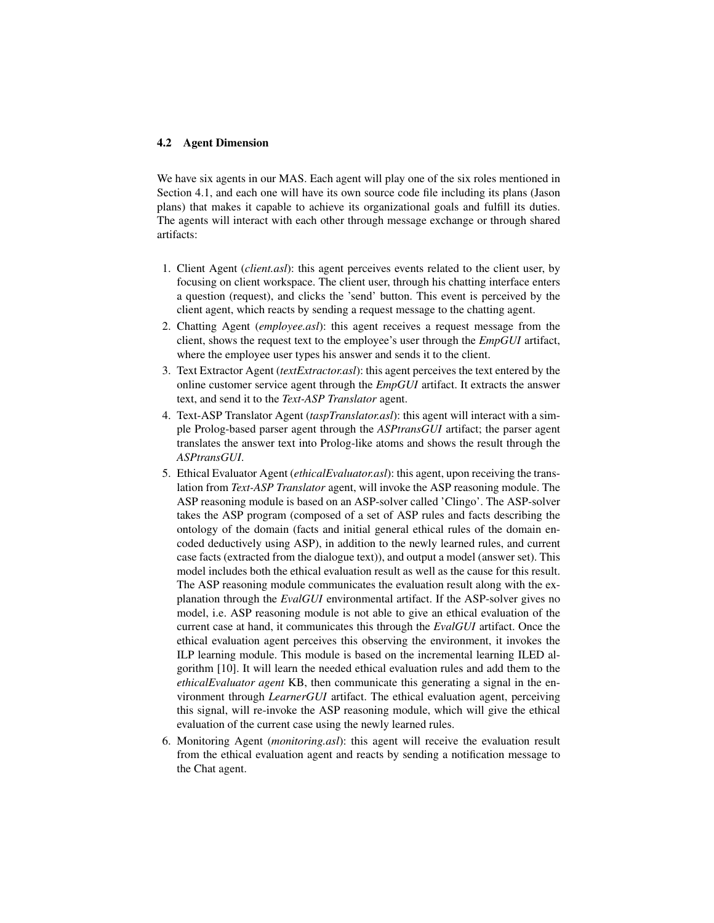#### 4.2 Agent Dimension

We have six agents in our MAS. Each agent will play one of the six roles mentioned in Section 4.1, and each one will have its own source code file including its plans (Jason plans) that makes it capable to achieve its organizational goals and fulfill its duties. The agents will interact with each other through message exchange or through shared artifacts:

- 1. Client Agent (*client.asl*): this agent perceives events related to the client user, by focusing on client workspace. The client user, through his chatting interface enters a question (request), and clicks the 'send' button. This event is perceived by the client agent, which reacts by sending a request message to the chatting agent.
- 2. Chatting Agent (*employee.asl*): this agent receives a request message from the client, shows the request text to the employee's user through the *EmpGUI* artifact, where the employee user types his answer and sends it to the client.
- 3. Text Extractor Agent (*textExtractor.asl*): this agent perceives the text entered by the online customer service agent through the *EmpGUI* artifact. It extracts the answer text, and send it to the *Text-ASP Translator* agent.
- 4. Text-ASP Translator Agent (*taspTranslator.asl*): this agent will interact with a simple Prolog-based parser agent through the *ASPtransGUI* artifact; the parser agent translates the answer text into Prolog-like atoms and shows the result through the *ASPtransGUI*.
- 5. Ethical Evaluator Agent (*ethicalEvaluator.asl*): this agent, upon receiving the translation from *Text-ASP Translator* agent, will invoke the ASP reasoning module. The ASP reasoning module is based on an ASP-solver called 'Clingo'. The ASP-solver takes the ASP program (composed of a set of ASP rules and facts describing the ontology of the domain (facts and initial general ethical rules of the domain encoded deductively using ASP), in addition to the newly learned rules, and current case facts (extracted from the dialogue text)), and output a model (answer set). This model includes both the ethical evaluation result as well as the cause for this result. The ASP reasoning module communicates the evaluation result along with the explanation through the *EvalGUI* environmental artifact. If the ASP-solver gives no model, i.e. ASP reasoning module is not able to give an ethical evaluation of the current case at hand, it communicates this through the *EvalGUI* artifact. Once the ethical evaluation agent perceives this observing the environment, it invokes the ILP learning module. This module is based on the incremental learning ILED algorithm [10]. It will learn the needed ethical evaluation rules and add them to the *ethicalEvaluator agent* KB, then communicate this generating a signal in the environment through *LearnerGUI* artifact. The ethical evaluation agent, perceiving this signal, will re-invoke the ASP reasoning module, which will give the ethical evaluation of the current case using the newly learned rules.
- 6. Monitoring Agent (*monitoring.asl*): this agent will receive the evaluation result from the ethical evaluation agent and reacts by sending a notification message to the Chat agent.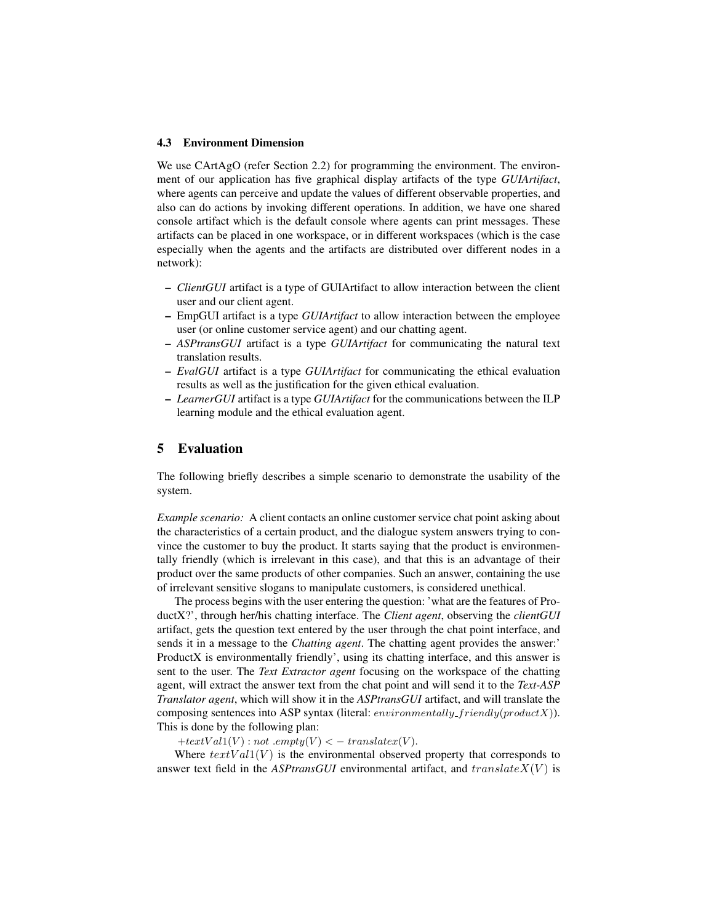#### 4.3 Environment Dimension

We use CArtAgO (refer Section 2.2) for programming the environment. The environment of our application has five graphical display artifacts of the type *GUIArtifact*, where agents can perceive and update the values of different observable properties, and also can do actions by invoking different operations. In addition, we have one shared console artifact which is the default console where agents can print messages. These artifacts can be placed in one workspace, or in different workspaces (which is the case especially when the agents and the artifacts are distributed over different nodes in a network):

- *ClientGUI* artifact is a type of GUIArtifact to allow interaction between the client user and our client agent.
- EmpGUI artifact is a type *GUIArtifact* to allow interaction between the employee user (or online customer service agent) and our chatting agent.
- *ASPtransGUI* artifact is a type *GUIArtifact* for communicating the natural text translation results.
- *EvalGUI* artifact is a type *GUIArtifact* for communicating the ethical evaluation results as well as the justification for the given ethical evaluation.
- *LearnerGUI* artifact is a type *GUIArtifact* for the communications between the ILP learning module and the ethical evaluation agent.

# 5 Evaluation

The following briefly describes a simple scenario to demonstrate the usability of the system.

*Example scenario:* A client contacts an online customer service chat point asking about the characteristics of a certain product, and the dialogue system answers trying to convince the customer to buy the product. It starts saying that the product is environmentally friendly (which is irrelevant in this case), and that this is an advantage of their product over the same products of other companies. Such an answer, containing the use of irrelevant sensitive slogans to manipulate customers, is considered unethical.

The process begins with the user entering the question: 'what are the features of ProductX?', through her/his chatting interface. The *Client agent*, observing the *clientGUI* artifact, gets the question text entered by the user through the chat point interface, and sends it in a message to the *Chatting agent*. The chatting agent provides the answer:' ProductX is environmentally friendly', using its chatting interface, and this answer is sent to the user. The *Text Extractor agent* focusing on the workspace of the chatting agent, will extract the answer text from the chat point and will send it to the *Text-ASP Translator agent*, which will show it in the *ASPtransGUI* artifact, and will translate the composing sentences into ASP syntax (literal: *environmentally\_friendly(productX)*). This is done by the following plan:

 $+textVal1(V)$ : not .empty $(V) < -translater(V)$ .

Where  $textVal1(V)$  is the environmental observed property that corresponds to answer text field in the *ASPtransGUI* environmental artifact, and  $translateX(V)$  is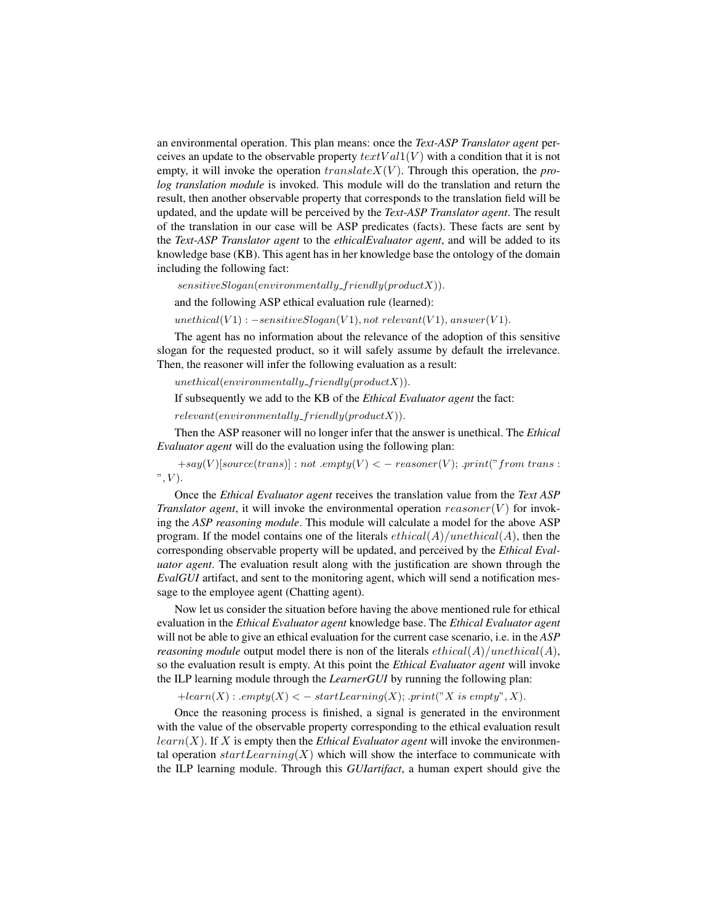an environmental operation. This plan means: once the *Text-ASP Translator agent* perceives an update to the observable property  $textVal(V)$  with a condition that it is not empty, it will invoke the operation  $translate X(V)$ . Through this operation, the *prolog translation module* is invoked. This module will do the translation and return the result, then another observable property that corresponds to the translation field will be updated, and the update will be perceived by the *Text-ASP Translator agent*. The result of the translation in our case will be ASP predicates (facts). These facts are sent by the *Text-ASP Translator agent* to the *ethicalEvaluator agent*, and will be added to its knowledge base (KB). This agent has in her knowledge base the ontology of the domain including the following fact:

 $sensitiveSlogen(environmentally\_friendly(productX)).$ 

and the following ASP ethical evaluation rule (learned):

 $unethical(V1) : -sensitiveSlogan(V1), not relevant(V1), answer(V1).$ 

The agent has no information about the relevance of the adoption of this sensitive slogan for the requested product, so it will safely assume by default the irrelevance. Then, the reasoner will infer the following evaluation as a result:

 $unethical (environmentally\_friendly (product X)).$ 

If subsequently we add to the KB of the *Ethical Evaluator agent* the fact:

 $relevant(environmentally\_friendly(productX)).$ 

Then the ASP reasoner will no longer infer that the answer is unethical. The *Ethical Evaluator agent* will do the evaluation using the following plan:

 $+say(V)$ [source(trans)] : not .empty(V) < - reasoner(V); .print("from trans :  $", V$ .

Once the *Ethical Evaluator agent* receives the translation value from the *Text ASP Translator agent*, it will invoke the environmental operation  $reasoner(V)$  for invoking the *ASP reasoning module*. This module will calculate a model for the above ASP program. If the model contains one of the literals  $ethical(A)/unethical(A)$ , then the corresponding observable property will be updated, and perceived by the *Ethical Evaluator agent*. The evaluation result along with the justification are shown through the *EvalGUI* artifact, and sent to the monitoring agent, which will send a notification message to the employee agent (Chatting agent).

Now let us consider the situation before having the above mentioned rule for ethical evaluation in the *Ethical Evaluator agent* knowledge base. The *Ethical Evaluator agent* will not be able to give an ethical evaluation for the current case scenario, i.e. in the *ASP reasoning module* output model there is non of the literals  $ethical(A)/unethical(A)$ , so the evaluation result is empty. At this point the *Ethical Evaluator agent* will invoke the ILP learning module through the *LearnerGUI* by running the following plan:

 $+learn(X) : .empty(X) < -startLearning(X); .print("X is empty", X).$ 

Once the reasoning process is finished, a signal is generated in the environment with the value of the observable property corresponding to the ethical evaluation result  $learn(X)$ . If X is empty then the *Ethical Evaluator agent* will invoke the environmental operation  $startLearning(X)$  which will show the interface to communicate with the ILP learning module. Through this *GUIartifact*, a human expert should give the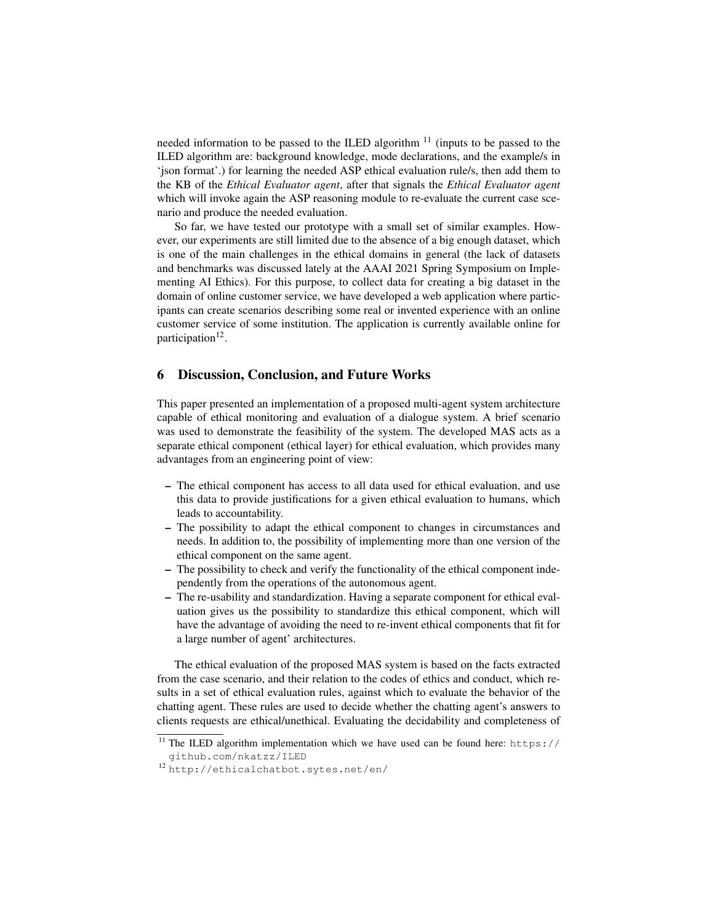needed information to be passed to the ILED algorithm  $11$  (inputs to be passed to the ILED algorithm are: background knowledge, mode declarations, and the example/s in 'json format'.) for learning the needed ASP ethical evaluation rule/s, then add them to the KB of the *Ethical Evaluator agent*, after that signals the *Ethical Evaluator agent* which will invoke again the ASP reasoning module to re-evaluate the current case scenario and produce the needed evaluation.

So far, we have tested our prototype with a small set of similar examples. However, our experiments are still limited due to the absence of a big enough dataset, which is one of the main challenges in the ethical domains in general (the lack of datasets and benchmarks was discussed lately at the AAAI 2021 Spring Symposium on Implementing AI Ethics). For this purpose, to collect data for creating a big dataset in the domain of online customer service, we have developed a web application where participants can create scenarios describing some real or invented experience with an online customer service of some institution. The application is currently available online for participation<sup>12</sup>.

## 6 Discussion, Conclusion, and Future Works

This paper presented an implementation of a proposed multi-agent system architecture capable of ethical monitoring and evaluation of a dialogue system. A brief scenario was used to demonstrate the feasibility of the system. The developed MAS acts as a separate ethical component (ethical layer) for ethical evaluation, which provides many advantages from an engineering point of view:

- The ethical component has access to all data used for ethical evaluation, and use this data to provide justifications for a given ethical evaluation to humans, which leads to accountability.
- The possibility to adapt the ethical component to changes in circumstances and needs. In addition to, the possibility of implementing more than one version of the ethical component on the same agent.
- The possibility to check and verify the functionality of the ethical component independently from the operations of the autonomous agent.
- The re-usability and standardization. Having a separate component for ethical evaluation gives us the possibility to standardize this ethical component, which will have the advantage of avoiding the need to re-invent ethical components that fit for a large number of agent' architectures.

The ethical evaluation of the proposed MAS system is based on the facts extracted from the case scenario, and their relation to the codes of ethics and conduct, which results in a set of ethical evaluation rules, against which to evaluate the behavior of the chatting agent. These rules are used to decide whether the chatting agent's answers to clients requests are ethical/unethical. Evaluating the decidability and completeness of

 $\frac{11}{11}$  The ILED algorithm implementation which we have used can be found here: https:// github.com/nkatzz/ILED

<sup>12</sup> http://ethicalchatbot.sytes.net/en/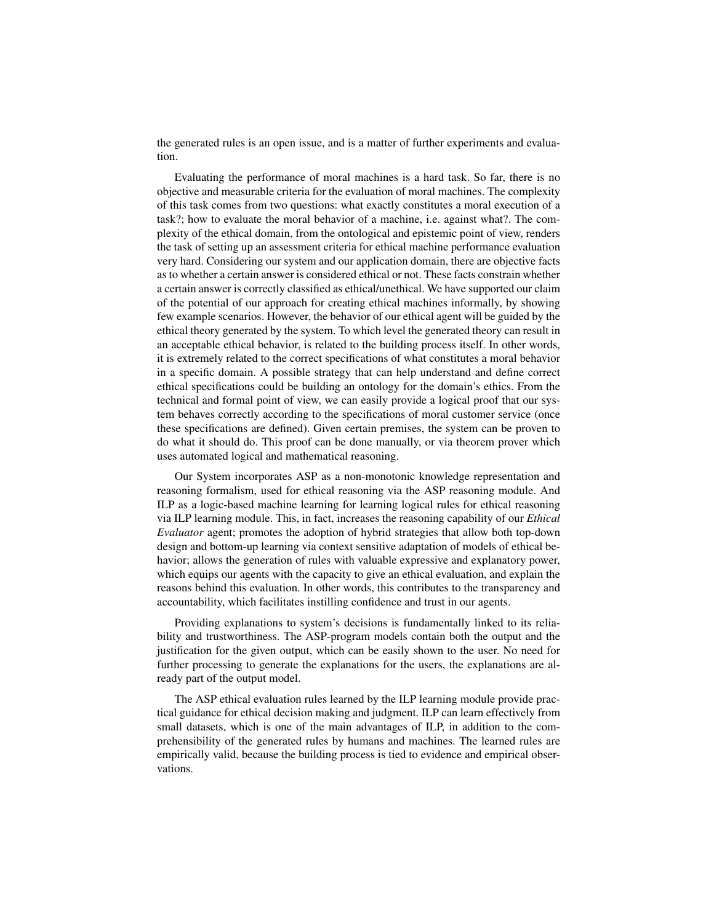the generated rules is an open issue, and is a matter of further experiments and evaluation.

Evaluating the performance of moral machines is a hard task. So far, there is no objective and measurable criteria for the evaluation of moral machines. The complexity of this task comes from two questions: what exactly constitutes a moral execution of a task?; how to evaluate the moral behavior of a machine, i.e. against what?. The complexity of the ethical domain, from the ontological and epistemic point of view, renders the task of setting up an assessment criteria for ethical machine performance evaluation very hard. Considering our system and our application domain, there are objective facts as to whether a certain answer is considered ethical or not. These facts constrain whether a certain answer is correctly classified as ethical/unethical. We have supported our claim of the potential of our approach for creating ethical machines informally, by showing few example scenarios. However, the behavior of our ethical agent will be guided by the ethical theory generated by the system. To which level the generated theory can result in an acceptable ethical behavior, is related to the building process itself. In other words, it is extremely related to the correct specifications of what constitutes a moral behavior in a specific domain. A possible strategy that can help understand and define correct ethical specifications could be building an ontology for the domain's ethics. From the technical and formal point of view, we can easily provide a logical proof that our system behaves correctly according to the specifications of moral customer service (once these specifications are defined). Given certain premises, the system can be proven to do what it should do. This proof can be done manually, or via theorem prover which uses automated logical and mathematical reasoning.

Our System incorporates ASP as a non-monotonic knowledge representation and reasoning formalism, used for ethical reasoning via the ASP reasoning module. And ILP as a logic-based machine learning for learning logical rules for ethical reasoning via ILP learning module. This, in fact, increases the reasoning capability of our *Ethical Evaluator* agent; promotes the adoption of hybrid strategies that allow both top-down design and bottom-up learning via context sensitive adaptation of models of ethical behavior; allows the generation of rules with valuable expressive and explanatory power, which equips our agents with the capacity to give an ethical evaluation, and explain the reasons behind this evaluation. In other words, this contributes to the transparency and accountability, which facilitates instilling confidence and trust in our agents.

Providing explanations to system's decisions is fundamentally linked to its reliability and trustworthiness. The ASP-program models contain both the output and the justification for the given output, which can be easily shown to the user. No need for further processing to generate the explanations for the users, the explanations are already part of the output model.

The ASP ethical evaluation rules learned by the ILP learning module provide practical guidance for ethical decision making and judgment. ILP can learn effectively from small datasets, which is one of the main advantages of ILP, in addition to the comprehensibility of the generated rules by humans and machines. The learned rules are empirically valid, because the building process is tied to evidence and empirical observations.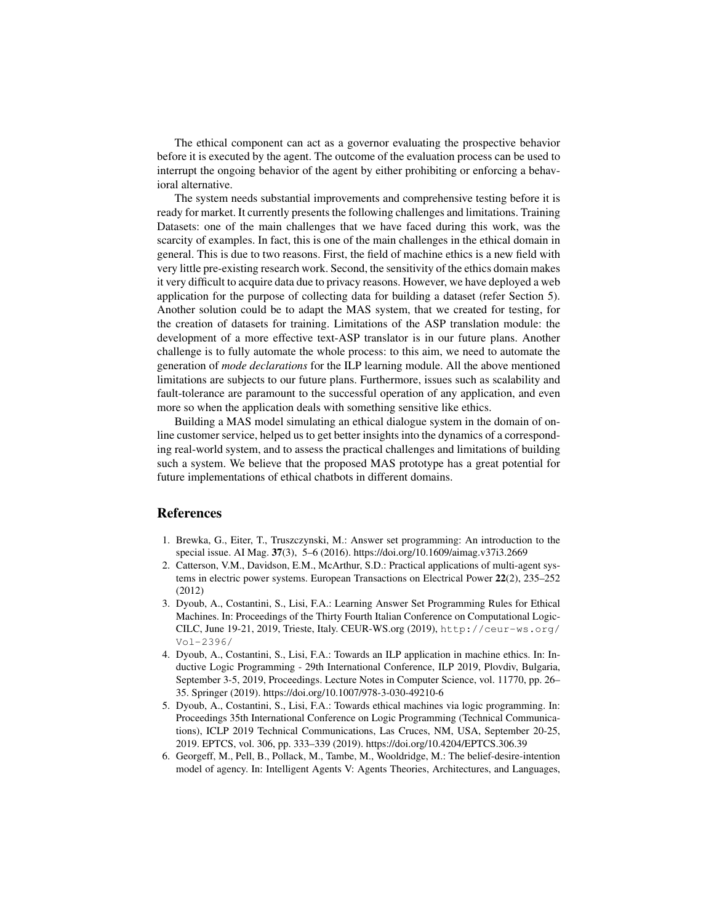The ethical component can act as a governor evaluating the prospective behavior before it is executed by the agent. The outcome of the evaluation process can be used to interrupt the ongoing behavior of the agent by either prohibiting or enforcing a behavioral alternative.

The system needs substantial improvements and comprehensive testing before it is ready for market. It currently presents the following challenges and limitations. Training Datasets: one of the main challenges that we have faced during this work, was the scarcity of examples. In fact, this is one of the main challenges in the ethical domain in general. This is due to two reasons. First, the field of machine ethics is a new field with very little pre-existing research work. Second, the sensitivity of the ethics domain makes it very difficult to acquire data due to privacy reasons. However, we have deployed a web application for the purpose of collecting data for building a dataset (refer Section 5). Another solution could be to adapt the MAS system, that we created for testing, for the creation of datasets for training. Limitations of the ASP translation module: the development of a more effective text-ASP translator is in our future plans. Another challenge is to fully automate the whole process: to this aim, we need to automate the generation of *mode declarations* for the ILP learning module. All the above mentioned limitations are subjects to our future plans. Furthermore, issues such as scalability and fault-tolerance are paramount to the successful operation of any application, and even more so when the application deals with something sensitive like ethics.

Building a MAS model simulating an ethical dialogue system in the domain of online customer service, helped us to get better insights into the dynamics of a corresponding real-world system, and to assess the practical challenges and limitations of building such a system. We believe that the proposed MAS prototype has a great potential for future implementations of ethical chatbots in different domains.

## References

- 1. Brewka, G., Eiter, T., Truszczynski, M.: Answer set programming: An introduction to the special issue. AI Mag. 37(3), 5–6 (2016). https://doi.org/10.1609/aimag.v37i3.2669
- 2. Catterson, V.M., Davidson, E.M., McArthur, S.D.: Practical applications of multi-agent systems in electric power systems. European Transactions on Electrical Power 22(2), 235–252 (2012)
- 3. Dyoub, A., Costantini, S., Lisi, F.A.: Learning Answer Set Programming Rules for Ethical Machines. In: Proceedings of the Thirty Fourth Italian Conference on Computational Logic-CILC, June 19-21, 2019, Trieste, Italy. CEUR-WS.org (2019), http://ceur-ws.org/ Vol-2396/
- 4. Dyoub, A., Costantini, S., Lisi, F.A.: Towards an ILP application in machine ethics. In: Inductive Logic Programming - 29th International Conference, ILP 2019, Plovdiv, Bulgaria, September 3-5, 2019, Proceedings. Lecture Notes in Computer Science, vol. 11770, pp. 26– 35. Springer (2019). https://doi.org/10.1007/978-3-030-49210-6
- 5. Dyoub, A., Costantini, S., Lisi, F.A.: Towards ethical machines via logic programming. In: Proceedings 35th International Conference on Logic Programming (Technical Communications), ICLP 2019 Technical Communications, Las Cruces, NM, USA, September 20-25, 2019. EPTCS, vol. 306, pp. 333–339 (2019). https://doi.org/10.4204/EPTCS.306.39
- 6. Georgeff, M., Pell, B., Pollack, M., Tambe, M., Wooldridge, M.: The belief-desire-intention model of agency. In: Intelligent Agents V: Agents Theories, Architectures, and Languages,